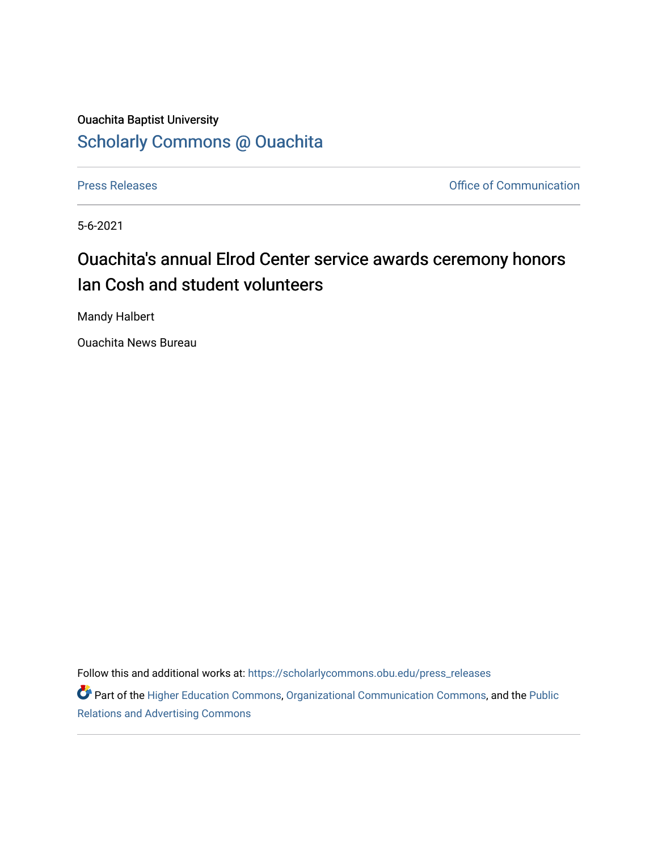# Ouachita Baptist University [Scholarly Commons @ Ouachita](https://scholarlycommons.obu.edu/)

[Press Releases](https://scholarlycommons.obu.edu/press_releases) **Press Releases Communication** 

5-6-2021

# Ouachita's annual Elrod Center service awards ceremony honors Ian Cosh and student volunteers

Mandy Halbert

Ouachita News Bureau

Follow this and additional works at: [https://scholarlycommons.obu.edu/press\\_releases](https://scholarlycommons.obu.edu/press_releases?utm_source=scholarlycommons.obu.edu%2Fpress_releases%2F801&utm_medium=PDF&utm_campaign=PDFCoverPages)

Part of the [Higher Education Commons,](http://network.bepress.com/hgg/discipline/1245?utm_source=scholarlycommons.obu.edu%2Fpress_releases%2F801&utm_medium=PDF&utm_campaign=PDFCoverPages) [Organizational Communication Commons,](http://network.bepress.com/hgg/discipline/335?utm_source=scholarlycommons.obu.edu%2Fpress_releases%2F801&utm_medium=PDF&utm_campaign=PDFCoverPages) and the [Public](http://network.bepress.com/hgg/discipline/336?utm_source=scholarlycommons.obu.edu%2Fpress_releases%2F801&utm_medium=PDF&utm_campaign=PDFCoverPages) [Relations and Advertising Commons](http://network.bepress.com/hgg/discipline/336?utm_source=scholarlycommons.obu.edu%2Fpress_releases%2F801&utm_medium=PDF&utm_campaign=PDFCoverPages)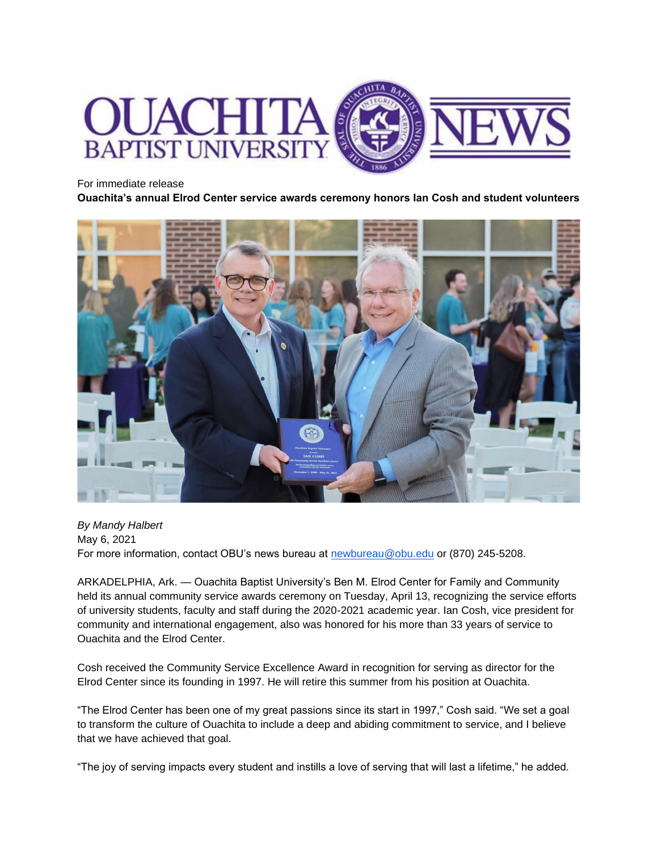

#### For immediate release

**Ouachita's annual Elrod Center service awards ceremony honors Ian Cosh and student volunteers**



*By Mandy Halbert* May 6, 2021 For more information, contact OBU's news bureau at [newbureau@obu.edu](mailto:newbureau@obu.edu) or (870) 245-5208.

ARKADELPHIA, Ark. — Ouachita Baptist University's Ben M. Elrod Center for Family and Community held its annual community service awards ceremony on Tuesday, April 13, recognizing the service efforts of university students, faculty and staff during the 2020-2021 academic year. Ian Cosh, vice president for community and international engagement, also was honored for his more than 33 years of service to Ouachita and the Elrod Center.

Cosh received the Community Service Excellence Award in recognition for serving as director for the Elrod Center since its founding in 1997. He will retire this summer from his position at Ouachita.

"The Elrod Center has been one of my great passions since its start in 1997," Cosh said. "We set a goal to transform the culture of Ouachita to include a deep and abiding commitment to service, and I believe that we have achieved that goal.

"The joy of serving impacts every student and instills a love of serving that will last a lifetime," he added.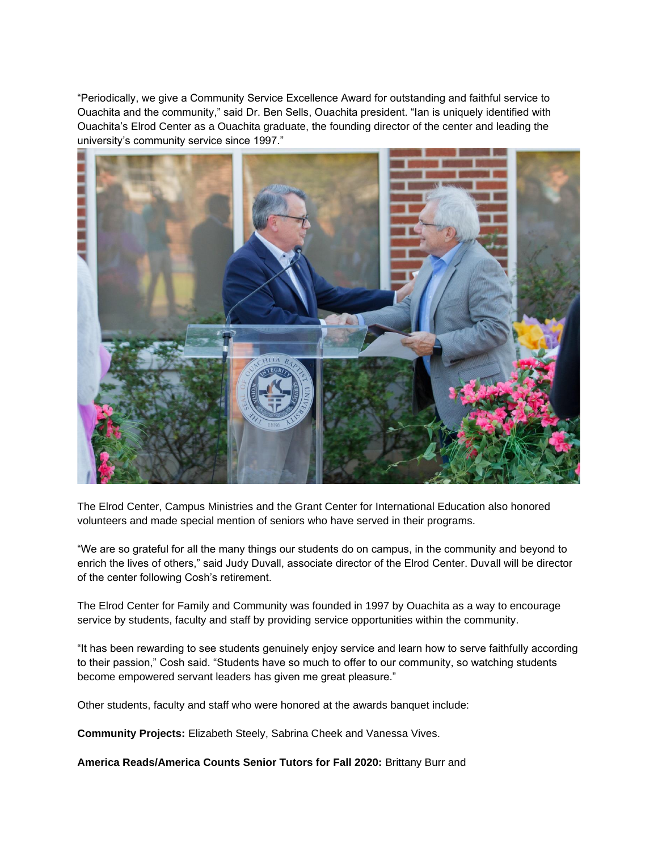"Periodically, we give a Community Service Excellence Award for outstanding and faithful service to Ouachita and the community," said Dr. Ben Sells, Ouachita president. "Ian is uniquely identified with Ouachita's Elrod Center as a Ouachita graduate, the founding director of the center and leading the university's community service since 1997."



The Elrod Center, Campus Ministries and the Grant Center for International Education also honored volunteers and made special mention of seniors who have served in their programs.

"We are so grateful for all the many things our students do on campus, in the community and beyond to enrich the lives of others," said Judy Duvall, associate director of the Elrod Center. Duvall will be director of the center following Cosh's retirement.

The Elrod Center for Family and Community was founded in 1997 by Ouachita as a way to encourage service by students, faculty and staff by providing service opportunities within the community.

"It has been rewarding to see students genuinely enjoy service and learn how to serve faithfully according to their passion," Cosh said. "Students have so much to offer to our community, so watching students become empowered servant leaders has given me great pleasure."

Other students, faculty and staff who were honored at the awards banquet include:

**Community Projects:** Elizabeth Steely, Sabrina Cheek and Vanessa Vives.

**America Reads/America Counts Senior Tutors for Fall 2020:** Brittany Burr and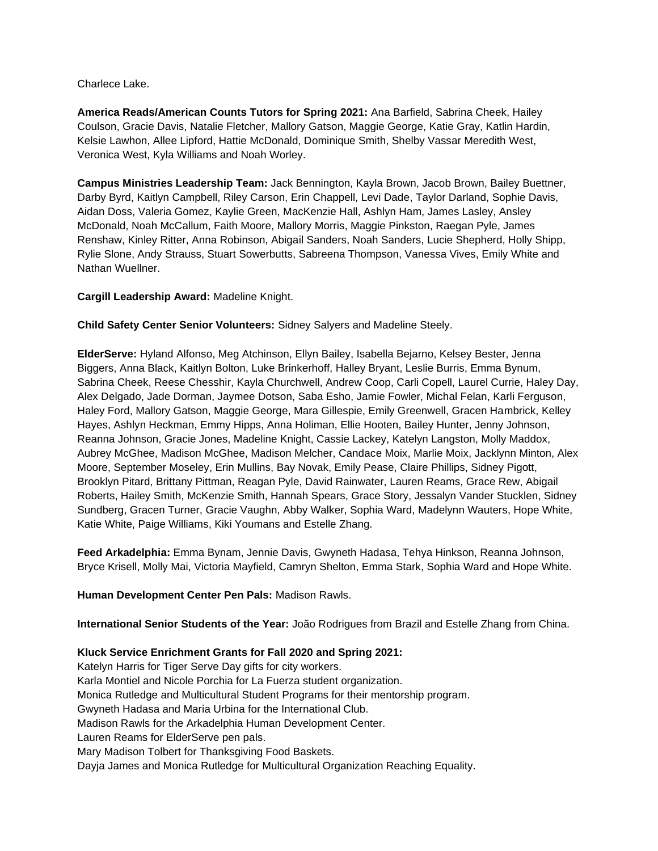Charlece Lake.

**America Reads/American Counts Tutors for Spring 2021:** Ana Barfield, Sabrina Cheek, Hailey Coulson, Gracie Davis, Natalie Fletcher, Mallory Gatson, Maggie George, Katie Gray, Katlin Hardin, Kelsie Lawhon, Allee Lipford, Hattie McDonald, Dominique Smith, Shelby Vassar Meredith West, Veronica West, Kyla Williams and Noah Worley.

**Campus Ministries Leadership Team:** Jack Bennington, Kayla Brown, Jacob Brown, Bailey Buettner, Darby Byrd, Kaitlyn Campbell, Riley Carson, Erin Chappell, Levi Dade, Taylor Darland, Sophie Davis, Aidan Doss, Valeria Gomez, Kaylie Green, MacKenzie Hall, Ashlyn Ham, James Lasley, Ansley McDonald, Noah McCallum, Faith Moore, Mallory Morris, Maggie Pinkston, Raegan Pyle, James Renshaw, Kinley Ritter, Anna Robinson, Abigail Sanders, Noah Sanders, Lucie Shepherd, Holly Shipp, Rylie Slone, Andy Strauss, Stuart Sowerbutts, Sabreena Thompson, Vanessa Vives, Emily White and Nathan Wuellner.

#### **Cargill Leadership Award:** Madeline Knight.

**Child Safety Center Senior Volunteers:** Sidney Salyers and Madeline Steely.

**ElderServe:** Hyland Alfonso, Meg Atchinson, Ellyn Bailey, Isabella Bejarno, Kelsey Bester, Jenna Biggers, Anna Black, Kaitlyn Bolton, Luke Brinkerhoff, Halley Bryant, Leslie Burris, Emma Bynum, Sabrina Cheek, Reese Chesshir, Kayla Churchwell, Andrew Coop, Carli Copell, Laurel Currie, Haley Day, Alex Delgado, Jade Dorman, Jaymee Dotson, Saba Esho, Jamie Fowler, Michal Felan, Karli Ferguson, Haley Ford, Mallory Gatson, Maggie George, Mara Gillespie, Emily Greenwell, Gracen Hambrick, Kelley Hayes, Ashlyn Heckman, Emmy Hipps, Anna Holiman, Ellie Hooten, Bailey Hunter, Jenny Johnson, Reanna Johnson, Gracie Jones, Madeline Knight, Cassie Lackey, Katelyn Langston, Molly Maddox, Aubrey McGhee, Madison McGhee, Madison Melcher, Candace Moix, Marlie Moix, Jacklynn Minton, Alex Moore, September Moseley, Erin Mullins, Bay Novak, Emily Pease, Claire Phillips, Sidney Pigott, Brooklyn Pitard, Brittany Pittman, Reagan Pyle, David Rainwater, Lauren Reams, Grace Rew, Abigail Roberts, Hailey Smith, McKenzie Smith, Hannah Spears, Grace Story, Jessalyn Vander Stucklen, Sidney Sundberg, Gracen Turner, Gracie Vaughn, Abby Walker, Sophia Ward, Madelynn Wauters, Hope White, Katie White, Paige Williams, Kiki Youmans and Estelle Zhang.

**Feed Arkadelphia:** Emma Bynam, Jennie Davis, Gwyneth Hadasa, Tehya Hinkson, Reanna Johnson, Bryce Krisell, Molly Mai, Victoria Mayfield, Camryn Shelton, Emma Stark, Sophia Ward and Hope White.

#### **Human Development Center Pen Pals:** Madison Rawls.

**International Senior Students of the Year:** João Rodrigues from Brazil and Estelle Zhang from China.

## **Kluck Service Enrichment Grants for Fall 2020 and Spring 2021:**

Katelyn Harris for Tiger Serve Day gifts for city workers. Karla Montiel and Nicole Porchia for La Fuerza student organization. Monica Rutledge and Multicultural Student Programs for their mentorship program. Gwyneth Hadasa and Maria Urbina for the International Club. Madison Rawls for the Arkadelphia Human Development Center. Lauren Reams for ElderServe pen pals. Mary Madison Tolbert for Thanksgiving Food Baskets. Dayja James and Monica Rutledge for Multicultural Organization Reaching Equality.